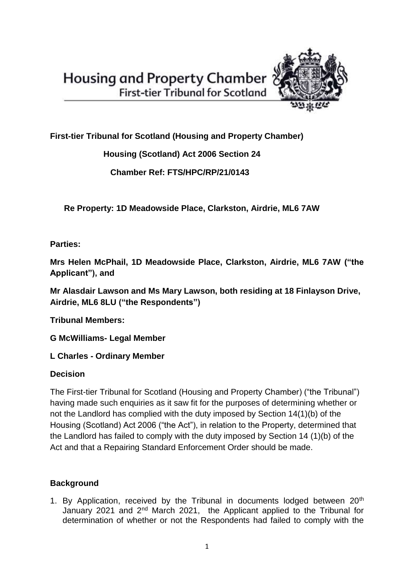

**First-tier Tribunal for Scotland (Housing and Property Chamber)** 

 **Housing (Scotland) Act 2006 Section 24** 

 **Chamber Ref: FTS/HPC/RP/21/0143**

 **Re Property: 1D Meadowside Place, Clarkston, Airdrie, ML6 7AW**

**Parties:**

**Mrs Helen McPhail, 1D Meadowside Place, Clarkston, Airdrie, ML6 7AW ("the Applicant"), and**

**Mr Alasdair Lawson and Ms Mary Lawson, both residing at 18 Finlayson Drive, Airdrie, ML6 8LU ("the Respondents")** 

**Tribunal Members:**

**G McWilliams- Legal Member**

**L Charles - Ordinary Member**

# **Decision**

The First-tier Tribunal for Scotland (Housing and Property Chamber) ("the Tribunal") having made such enquiries as it saw fit for the purposes of determining whether or not the Landlord has complied with the duty imposed by Section 14(1)(b) of the Housing (Scotland) Act 2006 ("the Act"), in relation to the Property, determined that the Landlord has failed to comply with the duty imposed by Section 14 (1)(b) of the Act and that a Repairing Standard Enforcement Order should be made.

# **Background**

1. By Application, received by the Tribunal in documents lodged between 20<sup>th</sup> January 2021 and 2<sup>nd</sup> March 2021, the Applicant applied to the Tribunal for determination of whether or not the Respondents had failed to comply with the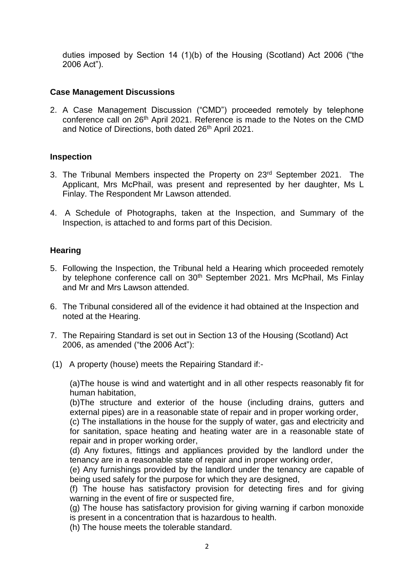duties imposed by Section 14 (1)(b) of the Housing (Scotland) Act 2006 ("the 2006 Act").

## **Case Management Discussions**

2. A Case Management Discussion ("CMD") proceeded remotely by telephone conference call on 26<sup>th</sup> April 2021. Reference is made to the Notes on the CMD and Notice of Directions, both dated 26<sup>th</sup> April 2021.

## **Inspection**

- 3. The Tribunal Members inspected the Property on 23<sup>rd</sup> September 2021. The Applicant, Mrs McPhail, was present and represented by her daughter, Ms L Finlay. The Respondent Mr Lawson attended.
- 4. A Schedule of Photographs, taken at the Inspection, and Summary of the Inspection, is attached to and forms part of this Decision.

## **Hearing**

- 5. Following the Inspection, the Tribunal held a Hearing which proceeded remotely by telephone conference call on 30<sup>th</sup> September 2021. Mrs McPhail, Ms Finlay and Mr and Mrs Lawson attended.
- 6. The Tribunal considered all of the evidence it had obtained at the Inspection and noted at the Hearing.
- 7. The Repairing Standard is set out in Section 13 of the Housing (Scotland) Act 2006, as amended ("the 2006 Act"):
- (1) A property (house) meets the Repairing Standard if:-

(a)The house is wind and watertight and in all other respects reasonably fit for human habitation,

(b)The structure and exterior of the house (including drains, gutters and external pipes) are in a reasonable state of repair and in proper working order,

(c) The installations in the house for the supply of water, gas and electricity and for sanitation, space heating and heating water are in a reasonable state of repair and in proper working order,

(d) Any fixtures, fittings and appliances provided by the landlord under the tenancy are in a reasonable state of repair and in proper working order,

(e) Any furnishings provided by the landlord under the tenancy are capable of being used safely for the purpose for which they are designed,

(f) The house has satisfactory provision for detecting fires and for giving warning in the event of fire or suspected fire,

(g) The house has satisfactory provision for giving warning if carbon monoxide is present in a concentration that is hazardous to health.

(h) The house meets the tolerable standard.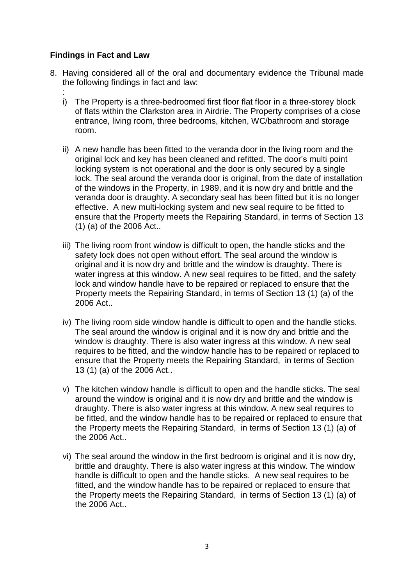## **Findings in Fact and Law**

- 8. Having considered all of the oral and documentary evidence the Tribunal made the following findings in fact and law:
	- : i) The Property is a three-bedroomed first floor flat floor in a three-storey block of flats within the Clarkston area in Airdrie. The Property comprises of a close entrance, living room, three bedrooms, kitchen, WC/bathroom and storage room.
	- ii) A new handle has been fitted to the veranda door in the living room and the original lock and key has been cleaned and refitted. The door's multi point locking system is not operational and the door is only secured by a single lock. The seal around the veranda door is original, from the date of installation of the windows in the Property, in 1989, and it is now dry and brittle and the veranda door is draughty. A secondary seal has been fitted but it is no longer effective. A new multi-locking system and new seal require to be fitted to ensure that the Property meets the Repairing Standard, in terms of Section 13 (1) (a) of the 2006 Act..
	- iii) The living room front window is difficult to open, the handle sticks and the safety lock does not open without effort. The seal around the window is original and it is now dry and brittle and the window is draughty. There is water ingress at this window. A new seal requires to be fitted, and the safety lock and window handle have to be repaired or replaced to ensure that the Property meets the Repairing Standard, in terms of Section 13 (1) (a) of the 2006 Act..
	- iv) The living room side window handle is difficult to open and the handle sticks. The seal around the window is original and it is now dry and brittle and the window is draughty. There is also water ingress at this window. A new seal requires to be fitted, and the window handle has to be repaired or replaced to ensure that the Property meets the Repairing Standard, in terms of Section 13 (1) (a) of the 2006 Act..
	- v) The kitchen window handle is difficult to open and the handle sticks. The seal around the window is original and it is now dry and brittle and the window is draughty. There is also water ingress at this window. A new seal requires to be fitted, and the window handle has to be repaired or replaced to ensure that the Property meets the Repairing Standard, in terms of Section 13 (1) (a) of the 2006 Act..
	- vi) The seal around the window in the first bedroom is original and it is now dry, brittle and draughty. There is also water ingress at this window. The window handle is difficult to open and the handle sticks. A new seal requires to be fitted, and the window handle has to be repaired or replaced to ensure that the Property meets the Repairing Standard, in terms of Section 13 (1) (a) of the 2006 Act..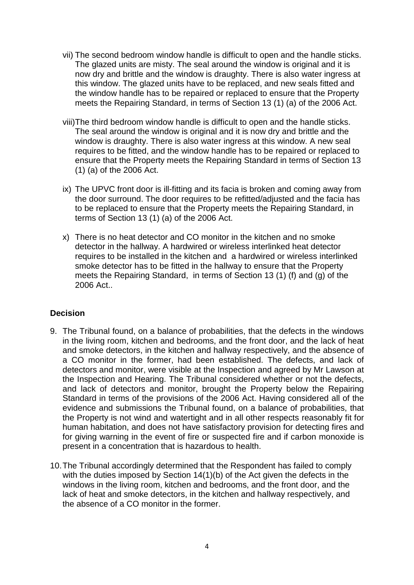- vii) The second bedroom window handle is difficult to open and the handle sticks. The glazed units are misty. The seal around the window is original and it is now dry and brittle and the window is draughty. There is also water ingress at this window. The glazed units have to be replaced, and new seals fitted and the window handle has to be repaired or replaced to ensure that the Property meets the Repairing Standard, in terms of Section 13 (1) (a) of the 2006 Act.
- viii)The third bedroom window handle is difficult to open and the handle sticks. The seal around the window is original and it is now dry and brittle and the window is draughty. There is also water ingress at this window. A new seal requires to be fitted, and the window handle has to be repaired or replaced to ensure that the Property meets the Repairing Standard in terms of Section 13 (1) (a) of the 2006 Act.
- ix) The UPVC front door is ill-fitting and its facia is broken and coming away from the door surround. The door requires to be refitted/adjusted and the facia has to be replaced to ensure that the Property meets the Repairing Standard, in terms of Section 13 (1) (a) of the 2006 Act.
- x) There is no heat detector and CO monitor in the kitchen and no smoke detector in the hallway. A hardwired or wireless interlinked heat detector requires to be installed in the kitchen and a hardwired or wireless interlinked smoke detector has to be fitted in the hallway to ensure that the Property meets the Repairing Standard, in terms of Section 13 (1) (f) and (g) of the 2006 Act..

# **Decision**

- 9. The Tribunal found, on a balance of probabilities, that the defects in the windows in the living room, kitchen and bedrooms, and the front door, and the lack of heat and smoke detectors, in the kitchen and hallway respectively, and the absence of a CO monitor in the former, had been established. The defects, and lack of detectors and monitor, were visible at the Inspection and agreed by Mr Lawson at the Inspection and Hearing. The Tribunal considered whether or not the defects, and lack of detectors and monitor, brought the Property below the Repairing Standard in terms of the provisions of the 2006 Act. Having considered all of the evidence and submissions the Tribunal found, on a balance of probabilities, that the Property is not wind and watertight and in all other respects reasonably fit for human habitation, and does not have satisfactory provision for detecting fires and for giving warning in the event of fire or suspected fire and if carbon monoxide is present in a concentration that is hazardous to health.
- 10.The Tribunal accordingly determined that the Respondent has failed to comply with the duties imposed by Section 14(1)(b) of the Act given the defects in the windows in the living room, kitchen and bedrooms, and the front door, and the lack of heat and smoke detectors, in the kitchen and hallway respectively, and the absence of a CO monitor in the former.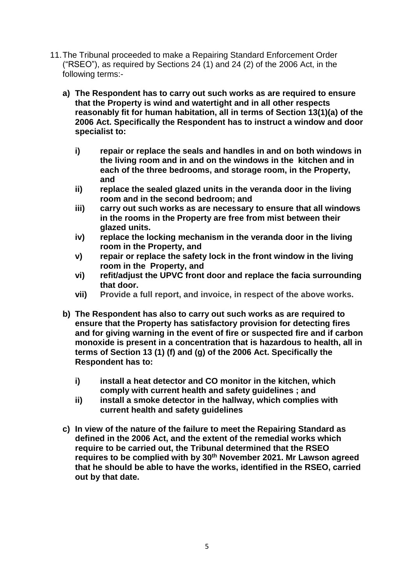- 11.The Tribunal proceeded to make a Repairing Standard Enforcement Order ("RSEO"), as required by Sections 24 (1) and 24 (2) of the 2006 Act, in the following terms:
	- **a) The Respondent has to carry out such works as are required to ensure that the Property is wind and watertight and in all other respects reasonably fit for human habitation, all in terms of Section 13(1)(a) of the 2006 Act. Specifically the Respondent has to instruct a window and door specialist to:**
		- **i) repair or replace the seals and handles in and on both windows in the living room and in and on the windows in the kitchen and in each of the three bedrooms, and storage room, in the Property, and**
		- **ii) replace the sealed glazed units in the veranda door in the living room and in the second bedroom; and**
		- **iii) carry out such works as are necessary to ensure that all windows in the rooms in the Property are free from mist between their glazed units.**
		- **iv) replace the locking mechanism in the veranda door in the living room in the Property, and**
		- **v) repair or replace the safety lock in the front window in the living room in the Property, and**
		- **vi) refit/adjust the UPVC front door and replace the facia surrounding that door.**
		- **vii) Provide a full report, and invoice, in respect of the above works.**
	- **b) The Respondent has also to carry out such works as are required to ensure that the Property has satisfactory provision for detecting fires and for giving warning in the event of fire or suspected fire and if carbon monoxide is present in a concentration that is hazardous to health, all in terms of Section 13 (1) (f) and (g) of the 2006 Act. Specifically the Respondent has to:**
		- **i) install a heat detector and CO monitor in the kitchen, which comply with current health and safety guidelines ; and**
		- **ii) install a smoke detector in the hallway, which complies with current health and safety guidelines**
	- **c) In view of the nature of the failure to meet the Repairing Standard as defined in the 2006 Act, and the extent of the remedial works which require to be carried out, the Tribunal determined that the RSEO requires to be complied with by 30th November 2021. Mr Lawson agreed that he should be able to have the works, identified in the RSEO, carried out by that date.**